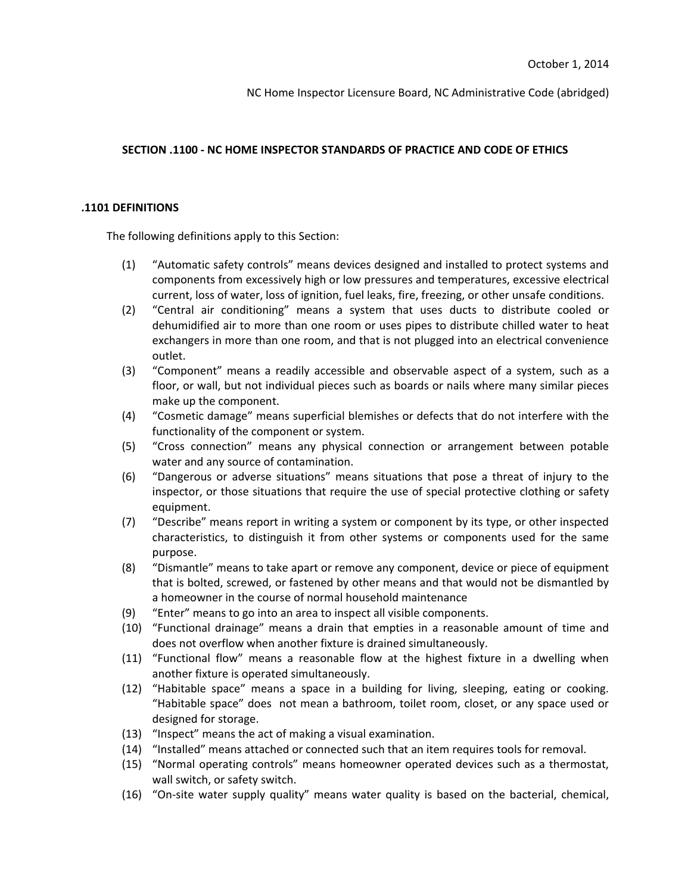# **SECTION .1100 - NC HOME INSPECTOR STANDARDS OF PRACTICE AND CODE OF ETHICS**

## **.1101 DEFINITIONS**

The following definitions apply to this Section:

- (1) "Automatic safety controls" means devices designed and installed to protect systems and components from excessively high or low pressures and temperatures, excessive electrical current, loss of water, loss of ignition, fuel leaks, fire, freezing, or other unsafe conditions.
- (2) "Central air conditioning" means a system that uses ducts to distribute cooled or dehumidified air to more than one room or uses pipes to distribute chilled water to heat exchangers in more than one room, and that is not plugged into an electrical convenience outlet.
- (3) "Component" means a readily accessible and observable aspect of a system, such as a floor, or wall, but not individual pieces such as boards or nails where many similar pieces make up the component.
- (4) "Cosmetic damage" means superficial blemishes or defects that do not interfere with the functionality of the component or system.
- (5) "Cross connection" means any physical connection or arrangement between potable water and any source of contamination.
- (6) "Dangerous or adverse situations" means situations that pose a threat of injury to the inspector, or those situations that require the use of special protective clothing or safety equipment.
- (7) "Describe" means report in writing a system or component by its type, or other inspected characteristics, to distinguish it from other systems or components used for the same purpose.
- (8) "Dismantle" means to take apart or remove any component, device or piece of equipment that is bolted, screwed, or fastened by other means and that would not be dismantled by a homeowner in the course of normal household maintenance
- (9) "Enter" means to go into an area to inspect all visible components.
- (10) "Functional drainage" means a drain that empties in a reasonable amount of time and does not overflow when another fixture is drained simultaneously.
- (11) "Functional flow" means a reasonable flow at the highest fixture in a dwelling when another fixture is operated simultaneously.
- (12) "Habitable space" means a space in a building for living, sleeping, eating or cooking. "Habitable space" does not mean a bathroom, toilet room, closet, or any space used or designed for storage.
- (13) "Inspect" means the act of making a visual examination.
- (14) "Installed" means attached or connected such that an item requires tools for removal.
- (15) "Normal operating controls" means homeowner operated devices such as a thermostat, wall switch, or safety switch.
- (16) "On-site water supply quality" means water quality is based on the bacterial, chemical,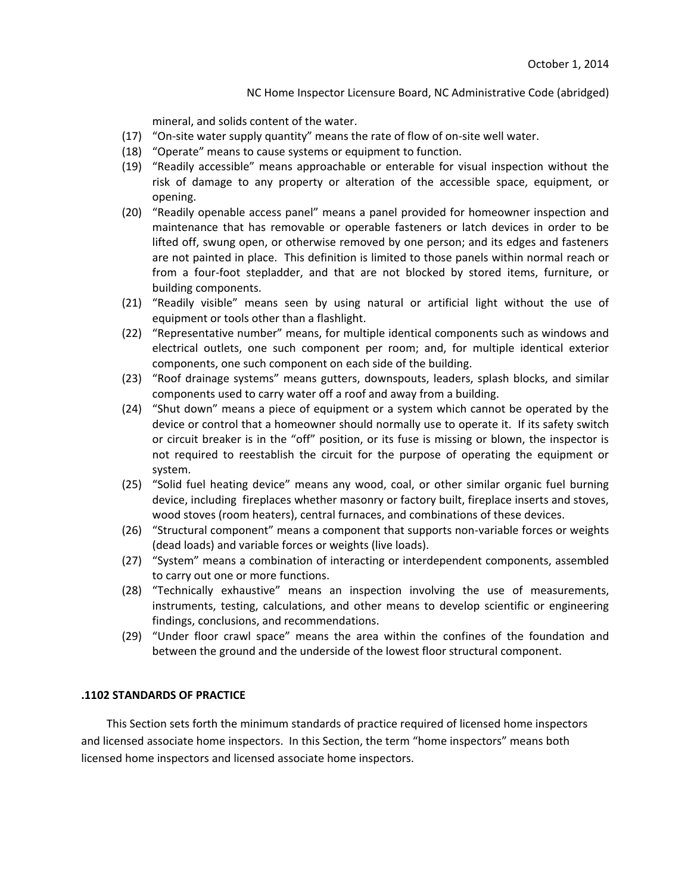mineral, and solids content of the water.

- (17) "On-site water supply quantity" means the rate of flow of on-site well water.
- (18) "Operate" means to cause systems or equipment to function.
- (19) "Readily accessible" means approachable or enterable for visual inspection without the risk of damage to any property or alteration of the accessible space, equipment, or opening.
- (20) "Readily openable access panel" means a panel provided for homeowner inspection and maintenance that has removable or operable fasteners or latch devices in order to be lifted off, swung open, or otherwise removed by one person; and its edges and fasteners are not painted in place. This definition is limited to those panels within normal reach or from a four-foot stepladder, and that are not blocked by stored items, furniture, or building components.
- (21) "Readily visible" means seen by using natural or artificial light without the use of equipment or tools other than a flashlight.
- (22) "Representative number" means, for multiple identical components such as windows and electrical outlets, one such component per room; and, for multiple identical exterior components, one such component on each side of the building.
- (23) "Roof drainage systems" means gutters, downspouts, leaders, splash blocks, and similar components used to carry water off a roof and away from a building.
- (24) "Shut down" means a piece of equipment or a system which cannot be operated by the device or control that a homeowner should normally use to operate it. If its safety switch or circuit breaker is in the "off" position, or its fuse is missing or blown, the inspector is not required to reestablish the circuit for the purpose of operating the equipment or system.
- (25) "Solid fuel heating device" means any wood, coal, or other similar organic fuel burning device, including fireplaces whether masonry or factory built, fireplace inserts and stoves, wood stoves (room heaters), central furnaces, and combinations of these devices.
- (26) "Structural component" means a component that supports non-variable forces or weights (dead loads) and variable forces or weights (live loads).
- (27) "System" means a combination of interacting or interdependent components, assembled to carry out one or more functions.
- (28) "Technically exhaustive" means an inspection involving the use of measurements, instruments, testing, calculations, and other means to develop scientific or engineering findings, conclusions, and recommendations.
- (29) "Under floor crawl space" means the area within the confines of the foundation and between the ground and the underside of the lowest floor structural component.

# **.1102 STANDARDS OF PRACTICE**

This Section sets forth the minimum standards of practice required of licensed home inspectors and licensed associate home inspectors. In this Section, the term "home inspectors" means both licensed home inspectors and licensed associate home inspectors.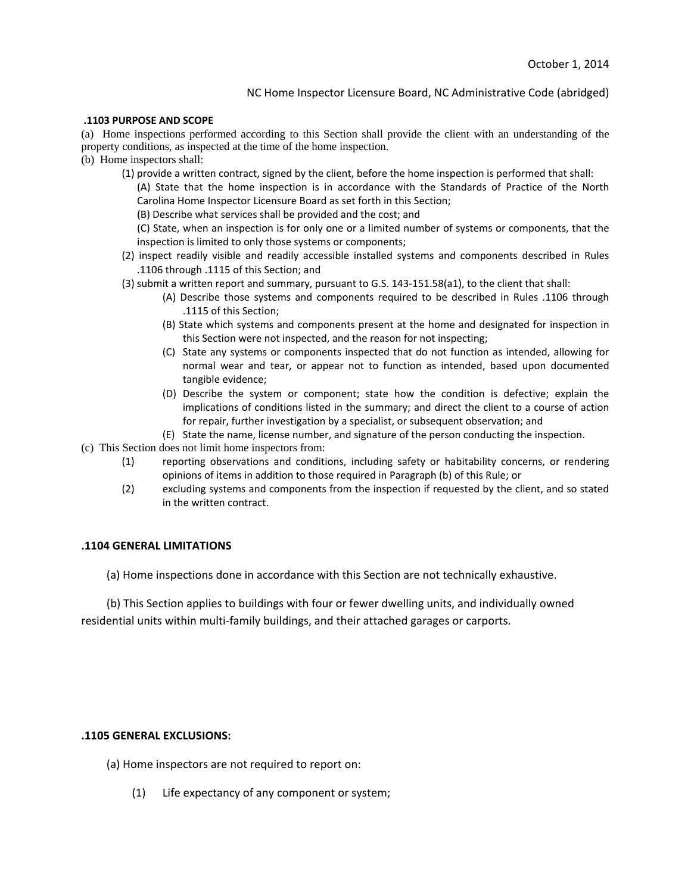#### **.1103 PURPOSE AND SCOPE**

(a) Home inspections performed according to this Section shall provide the client with an understanding of the property conditions, as inspected at the time of the home inspection.

(b) Home inspectors shall:

(1) provide a written contract, signed by the client, before the home inspection is performed that shall:

(A) State that the home inspection is in accordance with the Standards of Practice of the North Carolina Home Inspector Licensure Board as set forth in this Section;

(B) Describe what services shall be provided and the cost; and

(C) State, when an inspection is for only one or a limited number of systems or components, that the inspection is limited to only those systems or components;

- (2) inspect readily visible and readily accessible installed systems and components described in Rules .1106 through .1115 of this Section; and
- (3) submit a written report and summary, pursuant to G.S. 143-151.58(a1), to the client that shall:
	- (A) Describe those systems and components required to be described in Rules .1106 through .1115 of this Section;
	- (B) State which systems and components present at the home and designated for inspection in this Section were not inspected, and the reason for not inspecting;
	- (C) State any systems or components inspected that do not function as intended, allowing for normal wear and tear, or appear not to function as intended, based upon documented tangible evidence;
	- (D) Describe the system or component; state how the condition is defective; explain the implications of conditions listed in the summary; and direct the client to a course of action for repair, further investigation by a specialist, or subsequent observation; and
	- (E) State the name, license number, and signature of the person conducting the inspection.
- (c) This Section does not limit home inspectors from:
	- (1) reporting observations and conditions, including safety or habitability concerns, or rendering opinions of items in addition to those required in Paragraph (b) of this Rule; or
	- (2) excluding systems and components from the inspection if requested by the client, and so stated in the written contract.

#### **.1104 GENERAL LIMITATIONS**

(a) Home inspections done in accordance with this Section are not technically exhaustive.

(b) This Section applies to buildings with four or fewer dwelling units, and individually owned residential units within multi-family buildings, and their attached garages or carports.

#### **.1105 GENERAL EXCLUSIONS:**

- (a) Home inspectors are not required to report on:
	- (1) Life expectancy of any component or system;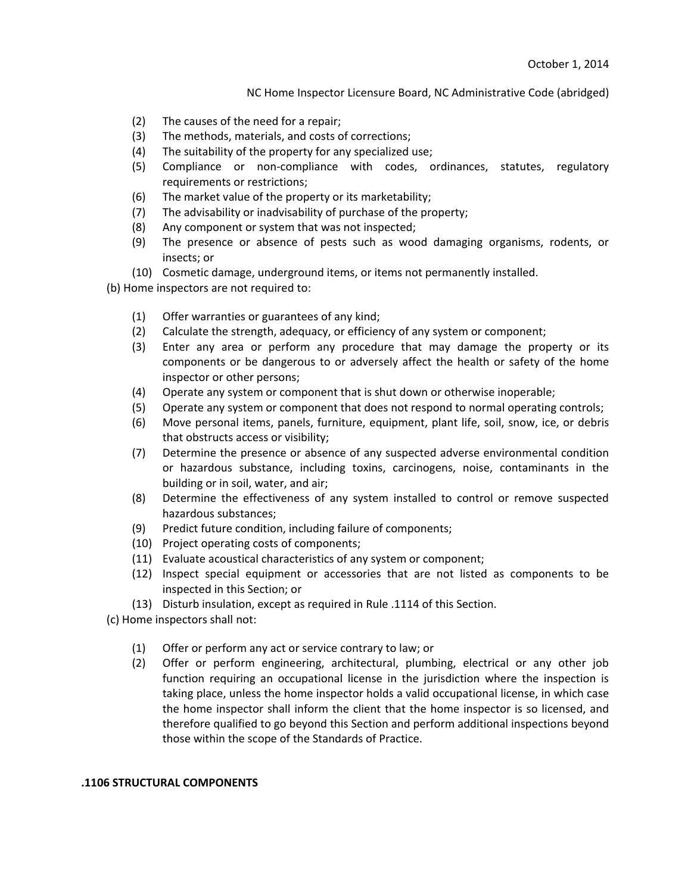- (2) The causes of the need for a repair;
- (3) The methods, materials, and costs of corrections;
- (4) The suitability of the property for any specialized use;
- (5) Compliance or non-compliance with codes, ordinances, statutes, regulatory requirements or restrictions;
- (6) The market value of the property or its marketability;
- (7) The advisability or inadvisability of purchase of the property;
- (8) Any component or system that was not inspected;
- (9) The presence or absence of pests such as wood damaging organisms, rodents, or insects; or
- (10) Cosmetic damage, underground items, or items not permanently installed.

(b) Home inspectors are not required to:

- (1) Offer warranties or guarantees of any kind;
- (2) Calculate the strength, adequacy, or efficiency of any system or component;
- (3) Enter any area or perform any procedure that may damage the property or its components or be dangerous to or adversely affect the health or safety of the home inspector or other persons;
- (4) Operate any system or component that is shut down or otherwise inoperable;
- (5) Operate any system or component that does not respond to normal operating controls;
- (6) Move personal items, panels, furniture, equipment, plant life, soil, snow, ice, or debris that obstructs access or visibility;
- (7) Determine the presence or absence of any suspected adverse environmental condition or hazardous substance, including toxins, carcinogens, noise, contaminants in the building or in soil, water, and air;
- (8) Determine the effectiveness of any system installed to control or remove suspected hazardous substances;
- (9) Predict future condition, including failure of components;
- (10) Project operating costs of components;
- (11) Evaluate acoustical characteristics of any system or component;
- (12) Inspect special equipment or accessories that are not listed as components to be inspected in this Section; or
- (13) Disturb insulation, except as required in Rule .1114 of this Section.
- (c) Home inspectors shall not:
	- (1) Offer or perform any act or service contrary to law; or
	- (2) Offer or perform engineering, architectural, plumbing, electrical or any other job function requiring an occupational license in the jurisdiction where the inspection is taking place, unless the home inspector holds a valid occupational license, in which case the home inspector shall inform the client that the home inspector is so licensed, and therefore qualified to go beyond this Section and perform additional inspections beyond those within the scope of the Standards of Practice.

### **.1106 STRUCTURAL COMPONENTS**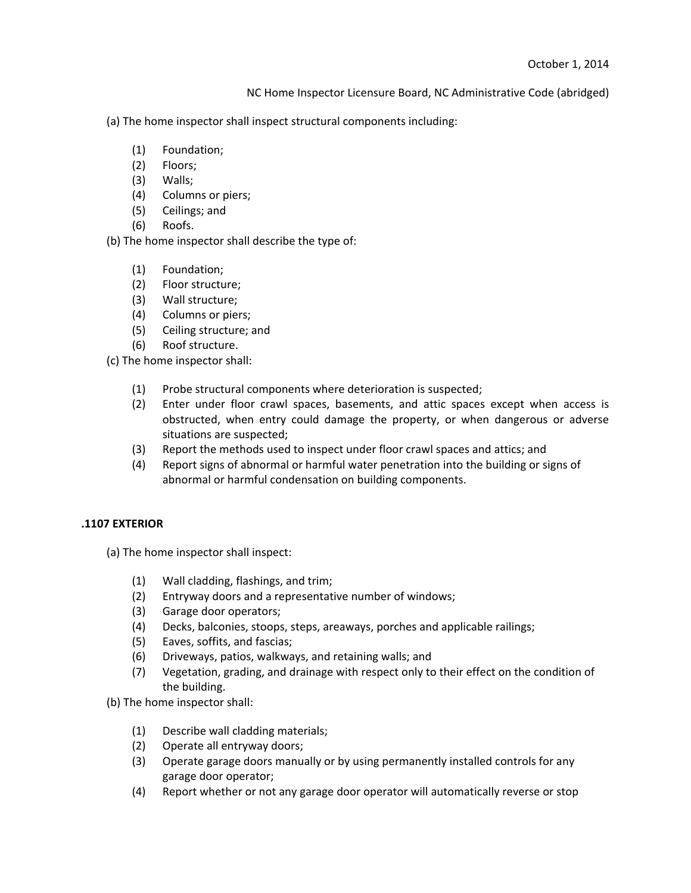(a) The home inspector shall inspect structural components including:

- (1) Foundation;
- (2) Floors;
- (3) Walls;
- (4) Columns or piers;
- (5) Ceilings; and
- (6) Roofs.

(b) The home inspector shall describe the type of:

- (1) Foundation;
- (2) Floor structure;
- (3) Wall structure;
- (4) Columns or piers;
- (5) Ceiling structure; and
- (6) Roof structure.

(c) The home inspector shall:

- (1) Probe structural components where deterioration is suspected;
- (2) Enter under floor crawl spaces, basements, and attic spaces except when access is obstructed, when entry could damage the property, or when dangerous or adverse situations are suspected;
- (3) Report the methods used to inspect under floor crawl spaces and attics; and
- (4) Report signs of abnormal or harmful water penetration into the building or signs of abnormal or harmful condensation on building components.

# **.1107 EXTERIOR**

(a) The home inspector shall inspect:

- (1) Wall cladding, flashings, and trim;
- (2) Entryway doors and a representative number of windows;
- (3) Garage door operators;
- (4) Decks, balconies, stoops, steps, areaways, porches and applicable railings;
- (5) Eaves, soffits, and fascias;
- (6) Driveways, patios, walkways, and retaining walls; and
- (7) Vegetation, grading, and drainage with respect only to their effect on the condition of the building.

(b) The home inspector shall:

- (1) Describe wall cladding materials;
- (2) Operate all entryway doors;
- (3) Operate garage doors manually or by using permanently installed controls for any garage door operator;
- (4) Report whether or not any garage door operator will automatically reverse or stop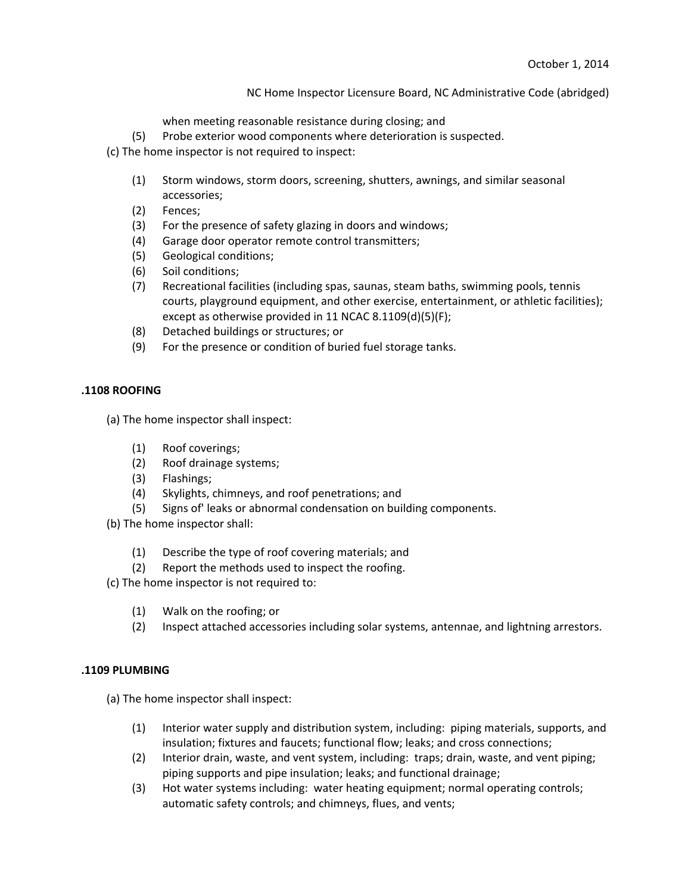when meeting reasonable resistance during closing; and

(5) Probe exterior wood components where deterioration is suspected.

(c) The home inspector is not required to inspect:

- (1) Storm windows, storm doors, screening, shutters, awnings, and similar seasonal accessories;
- (2) Fences;
- (3) For the presence of safety glazing in doors and windows;
- (4) Garage door operator remote control transmitters;
- (5) Geological conditions;
- (6) Soil conditions;
- (7) Recreational facilities (including spas, saunas, steam baths, swimming pools, tennis courts, playground equipment, and other exercise, entertainment, or athletic facilities); except as otherwise provided in 11 NCAC 8.1109(d)(5)(F);
- (8) Detached buildings or structures; or
- (9) For the presence or condition of buried fuel storage tanks.

## **.1108 ROOFING**

(a) The home inspector shall inspect:

- (1) Roof coverings;
- (2) Roof drainage systems;
- (3) Flashings;
- (4) Skylights, chimneys, and roof penetrations; and
- (5) Signs of' leaks or abnormal condensation on building components.
- (b) The home inspector shall:
	- (1) Describe the type of roof covering materials; and
	- (2) Report the methods used to inspect the roofing.
- (c) The home inspector is not required to:
	- (1) Walk on the roofing; or
	- (2) Inspect attached accessories including solar systems, antennae, and lightning arrestors.

# **.1109 PLUMBING**

(a) The home inspector shall inspect:

- (1) Interior water supply and distribution system, including: piping materials, supports, and insulation; fixtures and faucets; functional flow; leaks; and cross connections;
- (2) Interior drain, waste, and vent system, including: traps; drain, waste, and vent piping; piping supports and pipe insulation; leaks; and functional drainage;
- (3) Hot water systems including: water heating equipment; normal operating controls; automatic safety controls; and chimneys, flues, and vents;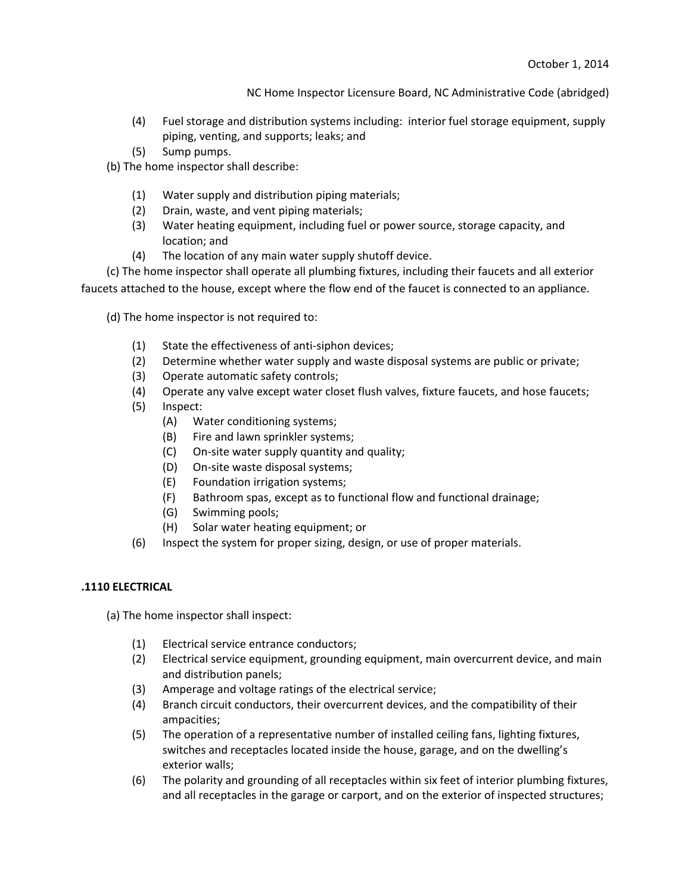- (4) Fuel storage and distribution systems including: interior fuel storage equipment, supply piping, venting, and supports; leaks; and
- (5) Sump pumps.
- (b) The home inspector shall describe:
	- (1) Water supply and distribution piping materials;
	- (2) Drain, waste, and vent piping materials;
	- (3) Water heating equipment, including fuel or power source, storage capacity, and location; and
	- (4) The location of any main water supply shutoff device.

(c) The home inspector shall operate all plumbing fixtures, including their faucets and all exterior faucets attached to the house, except where the flow end of the faucet is connected to an appliance.

(d) The home inspector is not required to:

- (1) State the effectiveness of anti-siphon devices;
- (2) Determine whether water supply and waste disposal systems are public or private;
- (3) Operate automatic safety controls;
- (4) Operate any valve except water closet flush valves, fixture faucets, and hose faucets;
- (5) Inspect:
	- (A) Water conditioning systems;
	- (B) Fire and lawn sprinkler systems;
	- (C) On-site water supply quantity and quality;
	- (D) On-site waste disposal systems;
	- (E) Foundation irrigation systems;
	- (F) Bathroom spas, except as to functional flow and functional drainage;
	- (G) Swimming pools;
	- (H) Solar water heating equipment; or
- (6) Inspect the system for proper sizing, design, or use of proper materials.

# **.1110 ELECTRICAL**

(a) The home inspector shall inspect:

- (1) Electrical service entrance conductors;
- (2) Electrical service equipment, grounding equipment, main overcurrent device, and main and distribution panels;
- (3) Amperage and voltage ratings of the electrical service;
- (4) Branch circuit conductors, their overcurrent devices, and the compatibility of their ampacities;
- (5) The operation of a representative number of installed ceiling fans, lighting fixtures, switches and receptacles located inside the house, garage, and on the dwelling's exterior walls;
- (6) The polarity and grounding of all receptacles within six feet of interior plumbing fixtures, and all receptacles in the garage or carport, and on the exterior of inspected structures;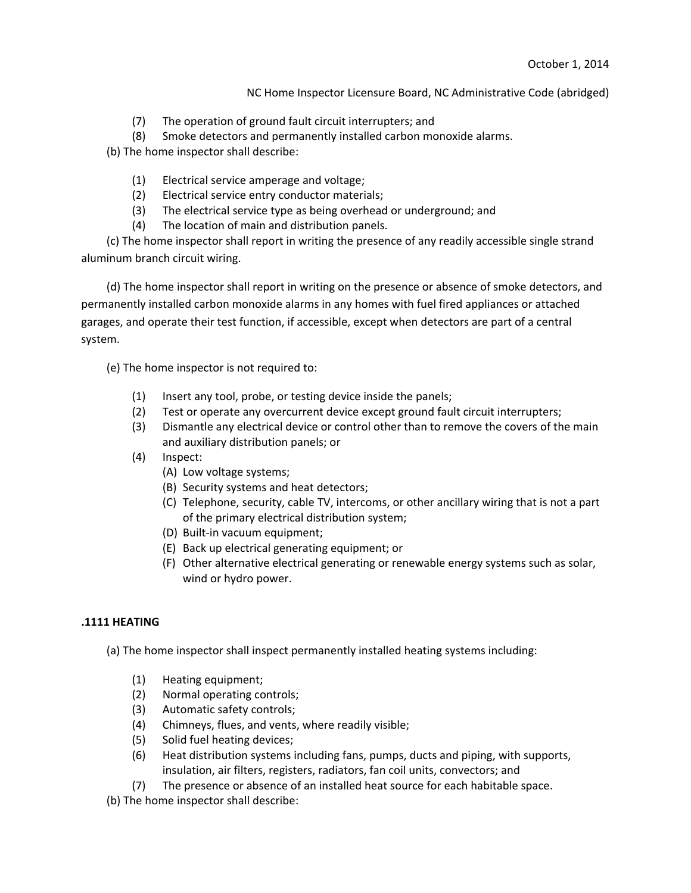- (7) The operation of ground fault circuit interrupters; and
- (8) Smoke detectors and permanently installed carbon monoxide alarms.

(b) The home inspector shall describe:

- (1) Electrical service amperage and voltage;
- (2) Electrical service entry conductor materials;
- (3) The electrical service type as being overhead or underground; and
- (4) The location of main and distribution panels.

(c) The home inspector shall report in writing the presence of any readily accessible single strand aluminum branch circuit wiring.

(d) The home inspector shall report in writing on the presence or absence of smoke detectors, and permanently installed carbon monoxide alarms in any homes with fuel fired appliances or attached garages, and operate their test function, if accessible, except when detectors are part of a central system.

(e) The home inspector is not required to:

- (1) Insert any tool, probe, or testing device inside the panels;
- (2) Test or operate any overcurrent device except ground fault circuit interrupters;
- (3) Dismantle any electrical device or control other than to remove the covers of the main and auxiliary distribution panels; or
- (4) Inspect:
	- (A) Low voltage systems;
	- (B) Security systems and heat detectors;
	- (C) Telephone, security, cable TV, intercoms, or other ancillary wiring that is not a part of the primary electrical distribution system;
	- (D) Built-in vacuum equipment;
	- (E) Back up electrical generating equipment; or
	- (F) Other alternative electrical generating or renewable energy systems such as solar, wind or hydro power.

### **.1111 HEATING**

(a) The home inspector shall inspect permanently installed heating systems including:

- (1) Heating equipment;
- (2) Normal operating controls;
- (3) Automatic safety controls;
- (4) Chimneys, flues, and vents, where readily visible;
- (5) Solid fuel heating devices;
- (6) Heat distribution systems including fans, pumps, ducts and piping, with supports, insulation, air filters, registers, radiators, fan coil units, convectors; and
- (7) The presence or absence of an installed heat source for each habitable space.

(b) The home inspector shall describe: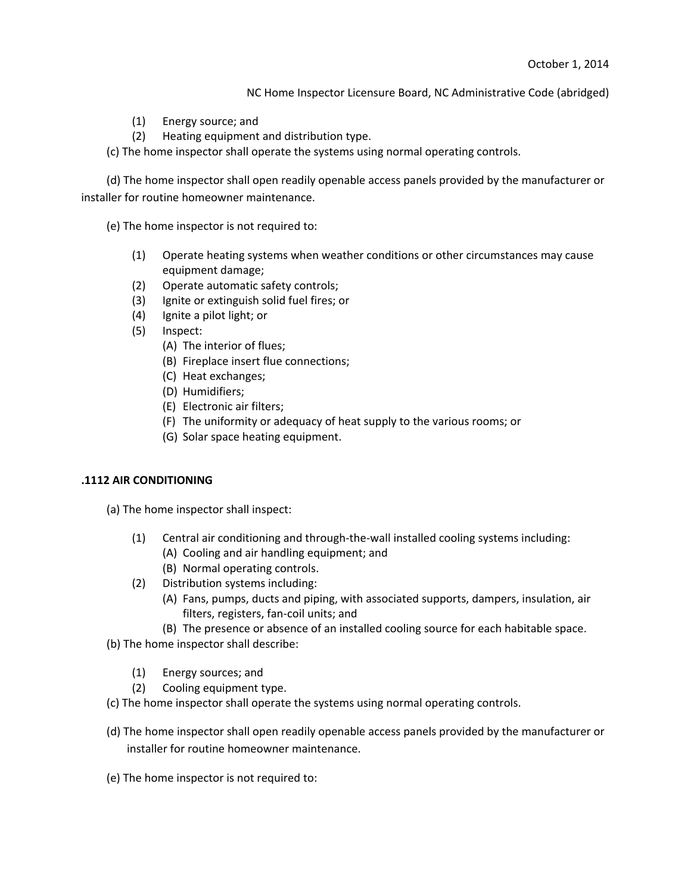- (1) Energy source; and
- (2) Heating equipment and distribution type.

(c) The home inspector shall operate the systems using normal operating controls.

(d) The home inspector shall open readily openable access panels provided by the manufacturer or installer for routine homeowner maintenance.

(e) The home inspector is not required to:

- (1) Operate heating systems when weather conditions or other circumstances may cause equipment damage;
- (2) Operate automatic safety controls;
- (3) Ignite or extinguish solid fuel fires; or
- (4) Ignite a pilot light; or
- (5) Inspect:
	- (A) The interior of flues;
	- (B) Fireplace insert flue connections;
	- (C) Heat exchanges;
	- (D) Humidifiers;
	- (E) Electronic air filters;
	- (F) The uniformity or adequacy of heat supply to the various rooms; or
	- (G) Solar space heating equipment.

### **.1112 AIR CONDITIONING**

(a) The home inspector shall inspect:

- (1) Central air conditioning and through-the-wall installed cooling systems including:
	- (A) Cooling and air handling equipment; and
	- (B) Normal operating controls.
- (2) Distribution systems including:
	- (A) Fans, pumps, ducts and piping, with associated supports, dampers, insulation, air filters, registers, fan-coil units; and
	- (B) The presence or absence of an installed cooling source for each habitable space.

(b) The home inspector shall describe:

- (1) Energy sources; and
- (2) Cooling equipment type.
- (c) The home inspector shall operate the systems using normal operating controls.
- (d) The home inspector shall open readily openable access panels provided by the manufacturer or installer for routine homeowner maintenance.
- (e) The home inspector is not required to: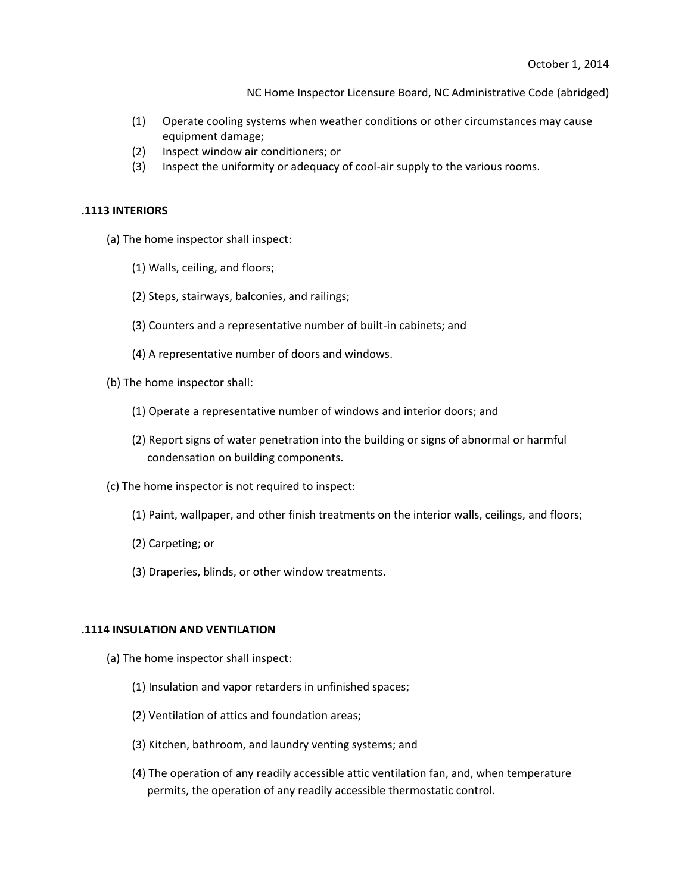- (1) Operate cooling systems when weather conditions or other circumstances may cause equipment damage;
- (2) Inspect window air conditioners; or
- (3) Inspect the uniformity or adequacy of cool-air supply to the various rooms.

#### **.1113 INTERIORS**

- (a) The home inspector shall inspect:
	- (1) Walls, ceiling, and floors;
	- (2) Steps, stairways, balconies, and railings;
	- (3) Counters and a representative number of built-in cabinets; and
	- (4) A representative number of doors and windows.
- (b) The home inspector shall:
	- (1) Operate a representative number of windows and interior doors; and
	- (2) Report signs of water penetration into the building or signs of abnormal or harmful condensation on building components.
- (c) The home inspector is not required to inspect:
	- (1) Paint, wallpaper, and other finish treatments on the interior walls, ceilings, and floors;
	- (2) Carpeting; or
	- (3) Draperies, blinds, or other window treatments.

### **.1114 INSULATION AND VENTILATION**

- (a) The home inspector shall inspect:
	- (1) Insulation and vapor retarders in unfinished spaces;
	- (2) Ventilation of attics and foundation areas;
	- (3) Kitchen, bathroom, and laundry venting systems; and
	- (4) The operation of any readily accessible attic ventilation fan, and, when temperature permits, the operation of any readily accessible thermostatic control.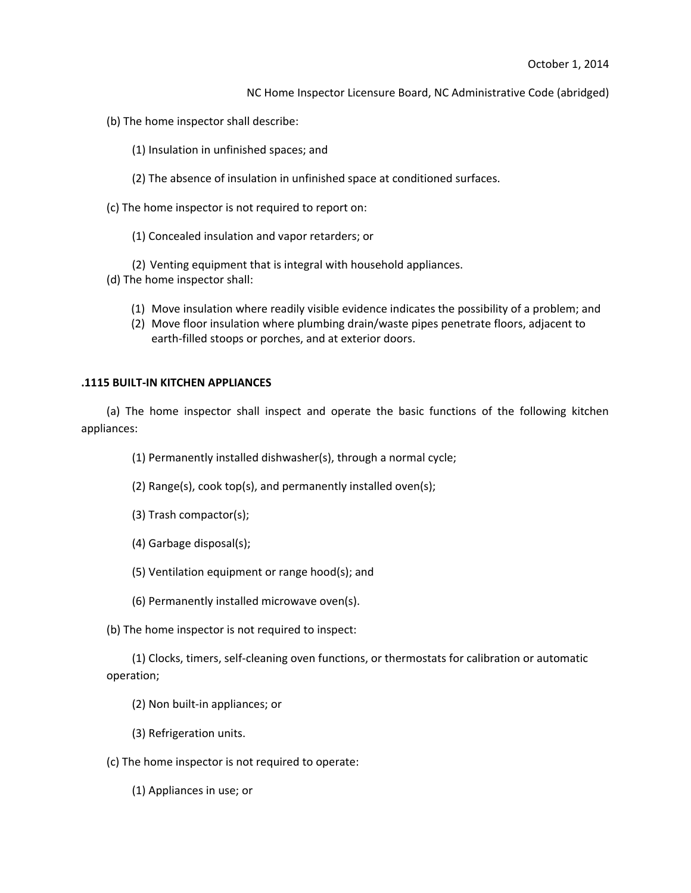- (b) The home inspector shall describe:
	- (1) Insulation in unfinished spaces; and
	- (2) The absence of insulation in unfinished space at conditioned surfaces.
- (c) The home inspector is not required to report on:
	- (1) Concealed insulation and vapor retarders; or
	- (2) Venting equipment that is integral with household appliances.
- (d) The home inspector shall:
	- (1) Move insulation where readily visible evidence indicates the possibility of a problem; and
	- (2) Move floor insulation where plumbing drain/waste pipes penetrate floors, adjacent to earth-filled stoops or porches, and at exterior doors.

## **.1115 BUILT-IN KITCHEN APPLIANCES**

(a) The home inspector shall inspect and operate the basic functions of the following kitchen appliances:

- (1) Permanently installed dishwasher(s), through a normal cycle;
- (2) Range(s), cook top(s), and permanently installed oven(s);
- (3) Trash compactor(s);
- (4) Garbage disposal(s);
- (5) Ventilation equipment or range hood(s); and
- (6) Permanently installed microwave oven(s).
- (b) The home inspector is not required to inspect:

(1) Clocks, timers, self-cleaning oven functions, or thermostats for calibration or automatic operation;

- (2) Non built-in appliances; or
- (3) Refrigeration units.
- (c) The home inspector is not required to operate:
	- (1) Appliances in use; or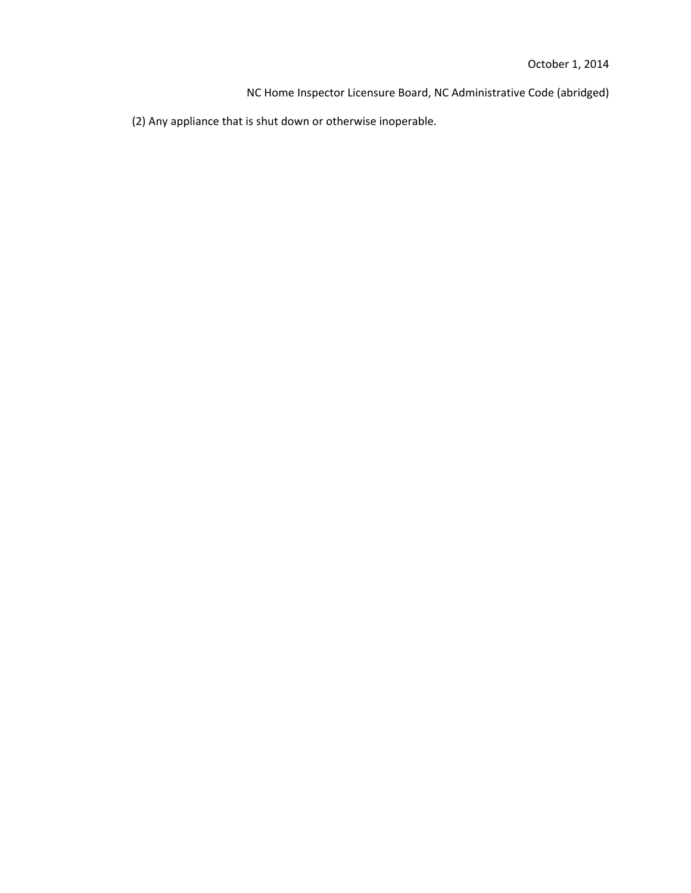(2) Any appliance that is shut down or otherwise inoperable.